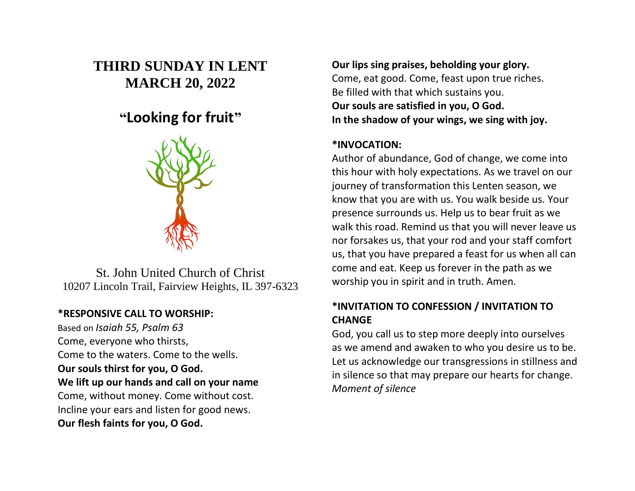# **THIRD SUNDAY IN LENT MARCH 20, 2022**

# **"Looking for fruit"**



St. John United Church of Christ 10207 Lincoln Trail, Fairview Heights, IL 397-6323

## **\*RESPONSIVE CALL TO WORSHIP:**

Based on *Isaiah 55, Psalm 63* Come, everyone who thirsts, Come to the waters. Come to the wells. **Our souls thirst for you, O God. We lift up our hands and call on your name** Come, without money. Come without cost. Incline your ears and listen for good news. **Our flesh faints for you, O God.**

**Our lips sing praises, beholding your glory.** Come, eat good. Come, feast upon true riches. Be filled with that which sustains you. **Our souls are satisfied in you, O God. In the shadow of your wings, we sing with joy.**

## **\*INVOCATION:**

Author of abundance, God of change, we come into this hour with holy expectations. As we travel on our journey of transformation this Lenten season, we know that you are with us. You walk beside us. Your presence surrounds us. Help us to bear fruit as we walk this road. Remind us that you will never leave us nor forsakes us, that your rod and your staff comfort us, that you have prepared a feast for us when all can come and eat. Keep us forever in the path as we worship you in spirit and in truth. Amen.

## **\*INVITATION TO CONFESSION / INVITATION TO CHANGE**

God, you call us to step more deeply into ourselves as we amend and awaken to who you desire us to be. Let us acknowledge our transgressions in stillness and in silence so that may prepare our hearts for change. *Moment of silence*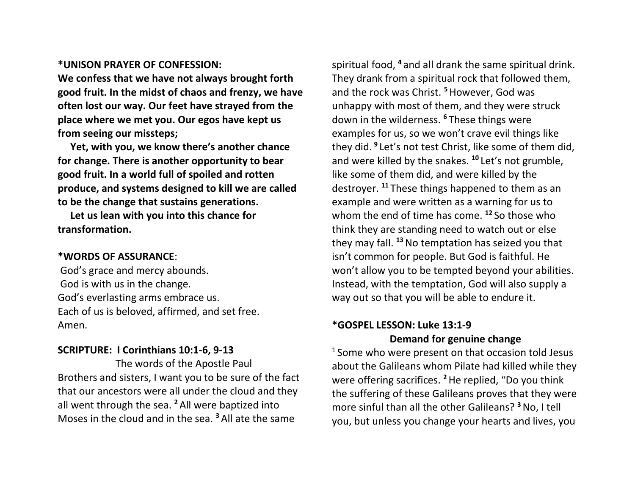### **\*UNISON PRAYER OF CONFESSION:**

**We confess that we have not always brought forth good fruit. In the midst of chaos and frenzy, we have often lost our way. Our feet have strayed from the place where we met you. Our egos have kept us from seeing our missteps;**

 **Yet, with you, we know there's another chance for change. There is another opportunity to bear good fruit. In a world full of spoiled and rotten produce, and systems designed to kill we are called to be the change that sustains generations.**

 **Let us lean with you into this chance for transformation.**

#### **\*WORDS OF ASSURANCE**:

God's grace and mercy abounds. God is with us in the change. God's everlasting arms embrace us. Each of us is beloved, affirmed, and set free. Amen.

#### **SCRIPTURE: I Corinthians 10:1-6, 9-13**

The words of the Apostle Paul Brothers and sisters, I want you to be sure of the fact that our ancestors were all under the cloud and they all went through the sea. **<sup>2</sup>** All were baptized into Moses in the cloud and in the sea. **<sup>3</sup>** All ate the same

spiritual food, **<sup>4</sup>** and all drank the same spiritual drink. They drank from a spiritual rock that followed them, and the rock was Christ. **<sup>5</sup>**However, God was unhappy with most of them, and they were struck down in the wilderness. **<sup>6</sup>** These things were examples for us, so we won't crave evil things like they did. **<sup>9</sup>** Let's not test Christ, like some of them did, and were killed by the snakes. **<sup>10</sup>** Let's not grumble, like some of them did, and were killed by the destroyer. **<sup>11</sup>** These things happened to them as an example and were written as a warning for us to whom the end of time has come. **<sup>12</sup>** So those who think they are standing need to watch out or else they may fall. **<sup>13</sup>**No temptation has seized you that isn't common for people. But God is faithful. He won't allow you to be tempted beyond your abilities. Instead, with the temptation, God will also supply a way out so that you will be able to endure it.

## **\*GOSPEL LESSON: Luke 13:1-9 Demand for genuine change**

 $1$  Some who were present on that occasion told Jesus about the Galileans whom Pilate had killed while they were offering sacrifices. **<sup>2</sup>**He replied, "Do you think the suffering of these Galileans proves that they were more sinful than all the other Galileans? **<sup>3</sup>**No, I tell you, but unless you change your hearts and lives, you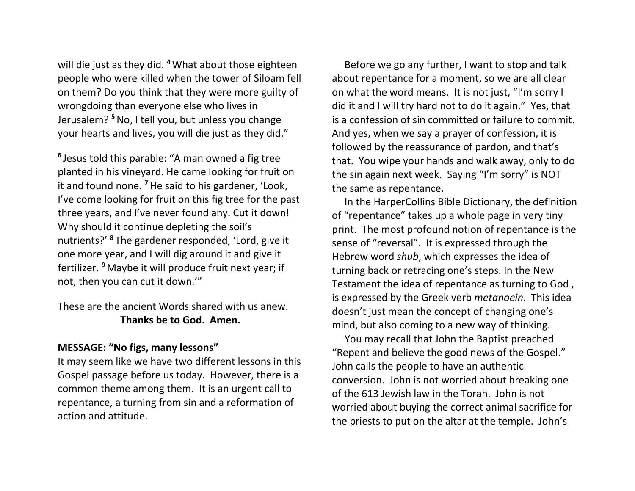will die just as they did. **<sup>4</sup>**What about those eighteen people who were killed when the tower of Siloam fell on them? Do you think that they were more guilty of wrongdoing than everyone else who lives in Jerusalem? **<sup>5</sup>**No, I tell you, but unless you change your hearts and lives, you will die just as they did."

**6** Jesus told this parable: "A man owned a fig tree planted in his vineyard. He came looking for fruit on it and found none. **<sup>7</sup>**He said to his gardener, 'Look, I've come looking for fruit on this fig tree for the past three years, and I've never found any. Cut it down! Why should it continue depleting the soil's nutrients?' **<sup>8</sup>** The gardener responded, 'Lord, give it one more year, and I will dig around it and give it fertilizer. **<sup>9</sup>** Maybe it will produce fruit next year; if not, then you can cut it down.'"

These are the ancient Words shared with us anew. **Thanks be to God. Amen.**

### **MESSAGE: "No figs, many lessons"**

It may seem like we have two different lessons in this Gospel passage before us today. However, there is a common theme among them. It is an urgent call to repentance, a turning from sin and a reformation of action and attitude.

 Before we go any further, I want to stop and talk about repentance for a moment, so we are all clear on what the word means. It is not just, "I'm sorry I did it and I will try hard not to do it again." Yes, that is a confession of sin committed or failure to commit. And yes, when we say a prayer of confession, it is followed by the reassurance of pardon, and that's that. You wipe your hands and walk away, only to do the sin again next week. Saying "I'm sorry" is NOT the same as repentance.

 In the HarperCollins Bible Dictionary, the definition of "repentance" takes up a whole page in very tiny print. The most profound notion of repentance is the sense of "reversal". It is expressed through the Hebrew word *shub*, which expresses the idea of turning back or retracing one's steps. In the New Testament the idea of repentance as turning to God , is expressed by the Greek verb *metanoein.* This idea doesn't just mean the concept of changing one's mind, but also coming to a new way of thinking.

 You may recall that John the Baptist preached "Repent and believe the good news of the Gospel." John calls the people to have an authentic conversion. John is not worried about breaking one of the 613 Jewish law in the Torah. John is not worried about buying the correct animal sacrifice for the priests to put on the altar at the temple. John's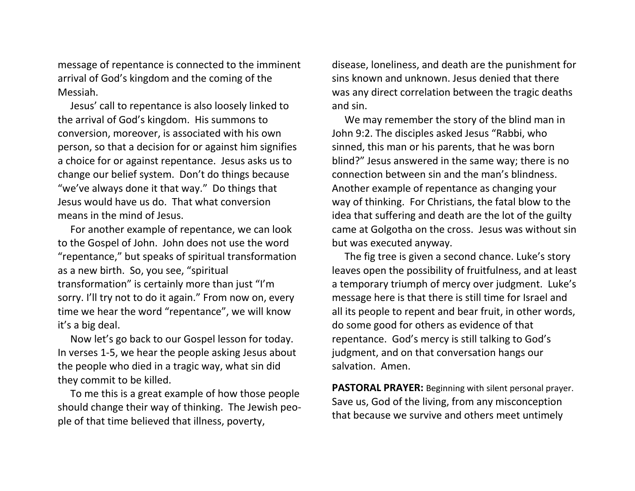message of repentance is connected to the imminent arrival of God's kingdom and the coming of the Messiah.

 Jesus' call to repentance is also loosely linked to the arrival of God's kingdom. His summons to conversion, moreover, is associated with his own person, so that a decision for or against him signifies a choice for or against repentance. Jesus asks us to change our belief system. Don't do things because "we've always done it that way." Do things that Jesus would have us do. That what conversion means in the mind of Jesus.

 For another example of repentance, we can look to the Gospel of John. John does not use the word "repentance," but speaks of spiritual transformation as a new birth. So, you see, "spiritual transformation" is certainly more than just "I'm sorry. I'll try not to do it again." From now on, every time we hear the word "repentance", we will know it's a big deal.

 Now let's go back to our Gospel lesson for today. In verses 1-5, we hear the people asking Jesus about the people who died in a tragic way, what sin did they commit to be killed.

 To me this is a great example of how those people should change their way of thinking. The Jewish people of that time believed that illness, poverty,

disease, loneliness, and death are the punishment for sins known and unknown. Jesus denied that there was any direct correlation between the tragic deaths and sin.

 We may remember the story of the blind man in John 9:2. The disciples asked Jesus "Rabbi, who sinned, this man or his parents, that he was born blind?" Jesus answered in the same way; there is no connection between sin and the man's blindness. Another example of repentance as changing your way of thinking. For Christians, the fatal blow to the idea that suffering and death are the lot of the guilty came at Golgotha on the cross. Jesus was without sin but was executed anyway.

 The fig tree is given a second chance. Luke's story leaves open the possibility of fruitfulness, and at least a temporary triumph of mercy over judgment. Luke's message here is that there is still time for Israel and all its people to repent and bear fruit, in other words, do some good for others as evidence of that repentance. God's mercy is still talking to God's judgment, and on that conversation hangs our salvation. Amen.

**PASTORAL PRAYER:** Beginning with silent personal prayer. Save us, God of the living, from any misconception that because we survive and others meet untimely